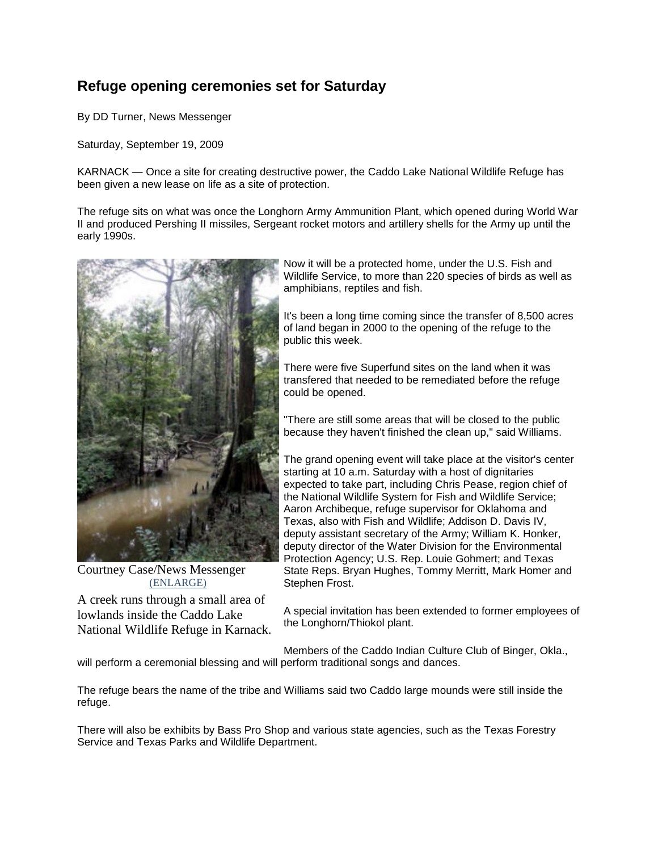# **Refuge opening ceremonies set for Saturday**

By DD Turner, News Messenger

Saturday, September 19, 2009

KARNACK — Once a site for creating destructive power, the Caddo Lake National Wildlife Refuge has been given a new lease on life as a site of protection.

The refuge sits on what was once the Longhorn Army Ammunition Plant, which opened during World War II and produced Pershing II missiles, Sergeant rocket motors and artillery shells for the Army up until the early 1990s.



Courtney Case/News Messenger [\(ENLARGE\)](http://www.marshallnewsmessenger.com/news/content/news/stories/2009/11374909_-1.html)

A creek runs through a small area of lowlands inside the Caddo Lake National Wildlife Refuge in Karnack.

Now it will be a protected home, under the U.S. Fish and Wildlife Service, to more than 220 species of birds as well as amphibians, reptiles and fish.

It's been a long time coming since the transfer of 8,500 acres of land began in 2000 to the opening of the refuge to the public this week.

There were five Superfund sites on the land when it was transfered that needed to be remediated before the refuge could be opened.

"There are still some areas that will be closed to the public because they haven't finished the clean up," said Williams.

The grand opening event will take place at the visitor's center starting at 10 a.m. Saturday with a host of dignitaries expected to take part, including Chris Pease, region chief of the National Wildlife System for Fish and Wildlife Service; Aaron Archibeque, refuge supervisor for Oklahoma and Texas, also with Fish and Wildlife; Addison D. Davis IV, deputy assistant secretary of the Army; William K. Honker, deputy director of the Water Division for the Environmental Protection Agency; U.S. Rep. Louie Gohmert; and Texas State Reps. Bryan Hughes, Tommy Merritt, Mark Homer and Stephen Frost.

A special invitation has been extended to former employees of the Longhorn/Thiokol plant.

Members of the Caddo Indian Culture Club of Binger, Okla., will perform a ceremonial blessing and will perform traditional songs and dances.

The refuge bears the name of the tribe and Williams said two Caddo large mounds were still inside the refuge.

There will also be exhibits by Bass Pro Shop and various state agencies, such as the Texas Forestry Service and Texas Parks and Wildlife Department.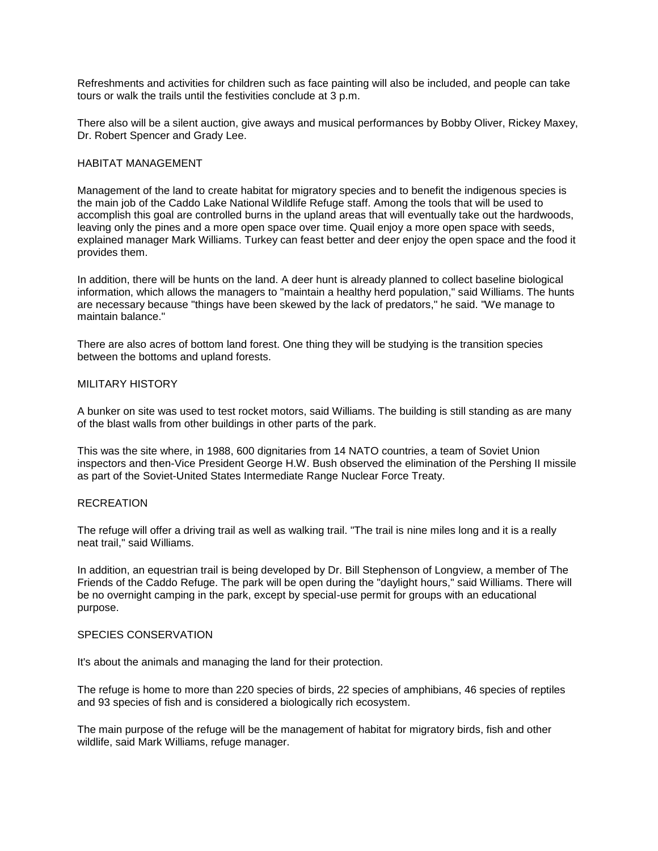Refreshments and activities for children such as face painting will also be included, and people can take tours or walk the trails until the festivities conclude at 3 p.m.

There also will be a silent auction, give aways and musical performances by Bobby Oliver, Rickey Maxey, Dr. Robert Spencer and Grady Lee.

#### HABITAT MANAGEMENT

Management of the land to create habitat for migratory species and to benefit the indigenous species is the main job of the Caddo Lake National Wildlife Refuge staff. Among the tools that will be used to accomplish this goal are controlled burns in the upland areas that will eventually take out the hardwoods, leaving only the pines and a more open space over time. Quail enjoy a more open space with seeds, explained manager Mark Williams. Turkey can feast better and deer enjoy the open space and the food it provides them.

In addition, there will be hunts on the land. A deer hunt is already planned to collect baseline biological information, which allows the managers to "maintain a healthy herd population," said Williams. The hunts are necessary because "things have been skewed by the lack of predators," he said. "We manage to maintain balance."

There are also acres of bottom land forest. One thing they will be studying is the transition species between the bottoms and upland forests.

## MILITARY HISTORY

A bunker on site was used to test rocket motors, said Williams. The building is still standing as are many of the blast walls from other buildings in other parts of the park.

This was the site where, in 1988, 600 dignitaries from 14 NATO countries, a team of Soviet Union inspectors and then-Vice President George H.W. Bush observed the elimination of the Pershing II missile as part of the Soviet-United States Intermediate Range Nuclear Force Treaty.

## **RECREATION**

The refuge will offer a driving trail as well as walking trail. "The trail is nine miles long and it is a really neat trail," said Williams.

In addition, an equestrian trail is being developed by Dr. Bill Stephenson of Longview, a member of The Friends of the Caddo Refuge. The park will be open during the "daylight hours," said Williams. There will be no overnight camping in the park, except by special-use permit for groups with an educational purpose.

## SPECIES CONSERVATION

It's about the animals and managing the land for their protection.

The refuge is home to more than 220 species of birds, 22 species of amphibians, 46 species of reptiles and 93 species of fish and is considered a biologically rich ecosystem.

The main purpose of the refuge will be the management of habitat for migratory birds, fish and other wildlife, said Mark Williams, refuge manager.